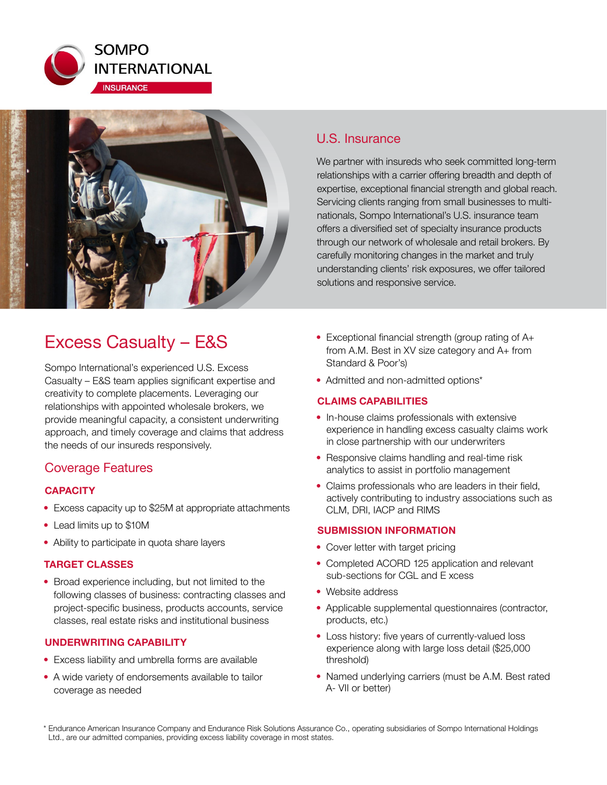



# Excess Casualty – E&S

Sompo International's experienced U.S. Excess Casualty – E&S team applies significant expertise and creativity to complete placements. Leveraging our relationships with appointed wholesale brokers, we provide meaningful capacity, a consistent underwriting approach, and timely coverage and claims that address the needs of our insureds responsively.

### Coverage Features

### **CAPACITY**

- Excess capacity up to \$25M at appropriate attachments
- Lead limits up to \$10M
- Ability to participate in quota share layers

#### **TARGET CLASSES**

• Broad experience including, but not limited to the following classes of business: contracting classes and project-specific business, products accounts, service classes, real estate risks and institutional business

#### **UNDERWRITING CAPABILITY**

- Excess liability and umbrella forms are available
- A wide variety of endorsements available to tailor coverage as needed

## U.S. Insurance

We partner with insureds who seek committed long-term relationships with a carrier offering breadth and depth of expertise, exceptional financial strength and global reach. Servicing clients ranging from small businesses to multinationals, Sompo International's U.S. insurance team offers a diversified set of specialty insurance products through our network of wholesale and retail brokers. By carefully monitoring changes in the market and truly understanding clients' risk exposures, we offer tailored solutions and responsive service.

- Exceptional financial strength (group rating of A+ from A.M. Best in XV size category and A+ from Standard & Poor's)
- Admitted and non-admitted options\*

#### **CLAIMS CAPABILITIES**

- In-house claims professionals with extensive experience in handling excess casualty claims work in close partnership with our underwriters
- Responsive claims handling and real-time risk analytics to assist in portfolio management
- Claims professionals who are leaders in their field, actively contributing to industry associations such as CLM, DRI, IACP and RIMS

#### **SUBMISSION INFORMATION**

- Cover letter with target pricing
- Completed ACORD 125 application and relevant sub-sections for CGL and E xcess
- Website address
- Applicable supplemental questionnaires (contractor, products, etc.)
- Loss history: five years of currently-valued loss experience along with large loss detail (\$25,000 threshold)
- Named underlying carriers (must be A.M. Best rated A- VII or better)

<sup>\*</sup> Endurance American Insurance Company and Endurance Risk Solutions Assurance Co., operating subsidiaries of Sompo International Holdings Ltd., are our admitted companies, providing excess liability coverage in most states.